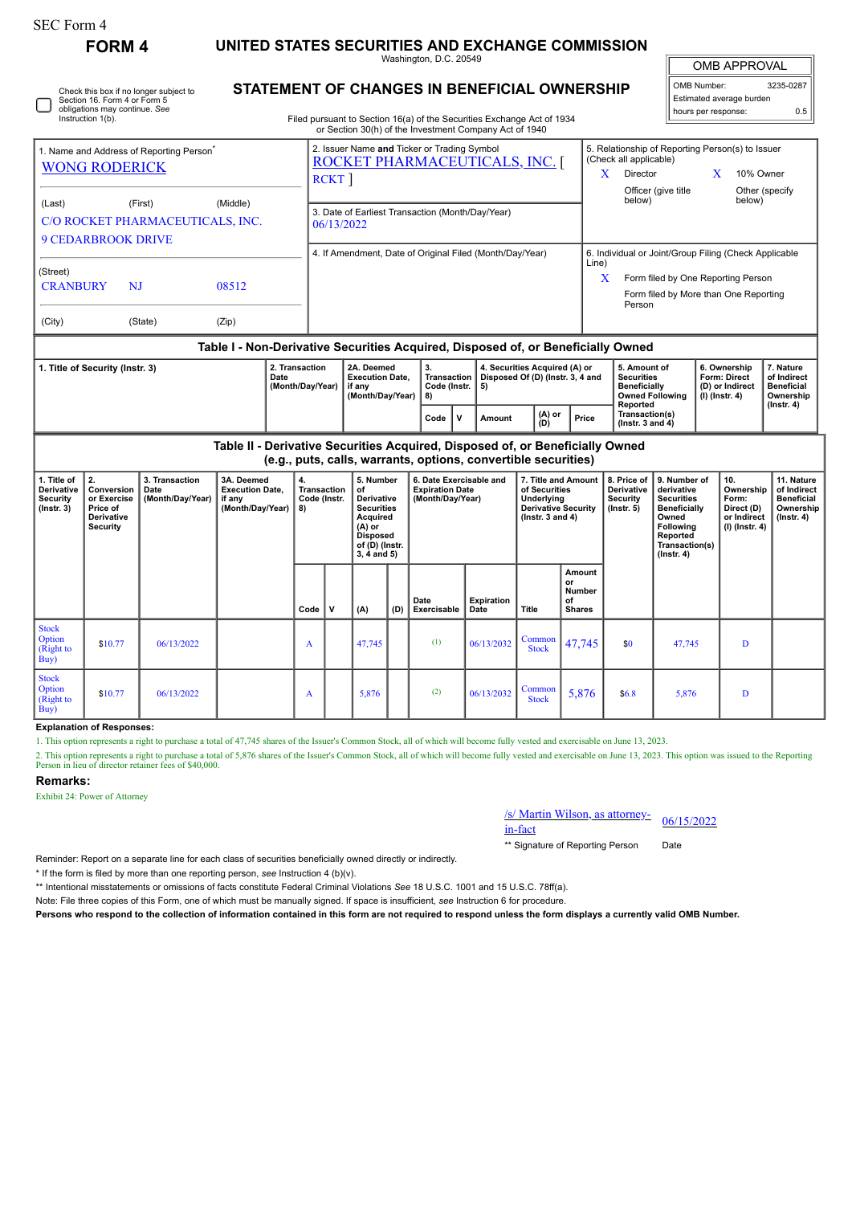| rorm |  |
|------|--|
|------|--|

L

Check this box if no longer subject to Section 16. Form 4 or Form 5 obligations may continue. *See* Instruction 1(b).

| FORM 4 | UNITED STATES SECURITIES AND EXCHANGE COMMISSION |
|--------|--------------------------------------------------|
|--------|--------------------------------------------------|

Washington, D.C. 20549

| <b>OMB APPROVAL</b> |
|---------------------|
|                     |

| OMB Number:              | 3235-0287 |  |  |  |  |  |  |  |
|--------------------------|-----------|--|--|--|--|--|--|--|
| Estimated average burden |           |  |  |  |  |  |  |  |
| hours per response:      | 0.5       |  |  |  |  |  |  |  |

Filed pursuant to Section 16(a) of the Securities Exchange Act of 1934

**STATEMENT OF CHANGES IN BENEFICIAL OWNERSHIP**

|                                                      |                                                                                  |       |                                                                | or Section 30(h) of the Investment Company Act of 1940                                                                                                                                          |     |        |                 |                                                                                                                                                                |                                                       |                                                                            |                  |           |  |  |  |
|------------------------------------------------------|----------------------------------------------------------------------------------|-------|----------------------------------------------------------------|-------------------------------------------------------------------------------------------------------------------------------------------------------------------------------------------------|-----|--------|-----------------|----------------------------------------------------------------------------------------------------------------------------------------------------------------|-------------------------------------------------------|----------------------------------------------------------------------------|------------------|-----------|--|--|--|
| 1. Name and Address of Reporting Person <sup>®</sup> |                                                                                  |       |                                                                | 2. Issuer Name and Ticker or Trading Symbol<br>ROCKET PHARMACEUTICALS, INC.                                                                                                                     |     |        |                 |                                                                                                                                                                |                                                       | 5. Relationship of Reporting Person(s) to Issuer<br>(Check all applicable) |                  |           |  |  |  |
| <b>WONG RODERICK</b>                                 |                                                                                  |       |                                                                | <b>RCKT</b>                                                                                                                                                                                     |     |        |                 |                                                                                                                                                                |                                                       | <b>Director</b>                                                            | X                | 10% Owner |  |  |  |
| (Last)                                               | (First)                                                                          |       |                                                                |                                                                                                                                                                                                 |     |        |                 | Officer (give title<br>below)                                                                                                                                  | below)                                                | Other (specify)                                                            |                  |           |  |  |  |
| <b>9 CEDARBROOK DRIVE</b>                            | C/O ROCKET PHARMACEUTICALS, INC.                                                 |       | 3. Date of Earliest Transaction (Month/Day/Year)<br>06/13/2022 |                                                                                                                                                                                                 |     |        |                 |                                                                                                                                                                |                                                       |                                                                            |                  |           |  |  |  |
|                                                      |                                                                                  |       | 4. If Amendment, Date of Original Filed (Month/Day/Year)       |                                                                                                                                                                                                 |     |        |                 |                                                                                                                                                                | 6. Individual or Joint/Group Filing (Check Applicable |                                                                            |                  |           |  |  |  |
| (Street)                                             |                                                                                  |       |                                                                |                                                                                                                                                                                                 |     |        |                 |                                                                                                                                                                | Line)<br>X                                            | Form filed by One Reporting Person                                         |                  |           |  |  |  |
| <b>CRANBURY</b>                                      | NJ                                                                               | 08512 |                                                                |                                                                                                                                                                                                 |     |        |                 |                                                                                                                                                                |                                                       | Form filed by More than One Reporting<br>Person                            |                  |           |  |  |  |
| (City)                                               | (State)                                                                          | (Zip) |                                                                |                                                                                                                                                                                                 |     |        |                 |                                                                                                                                                                |                                                       |                                                                            |                  |           |  |  |  |
|                                                      | Table I - Non-Derivative Securities Acquired, Disposed of, or Beneficially Owned |       |                                                                |                                                                                                                                                                                                 |     |        |                 |                                                                                                                                                                |                                                       |                                                                            |                  |           |  |  |  |
| 1. Title of Security (Instr. 3)                      |                                                                                  |       | 2. Transaction<br>Date<br>(Month/Day/Year)                     | 2A. Deemed<br>4. Securities Acquired (A) or<br>3.<br><b>Transaction</b><br>Disposed Of (D) (Instr. 3, 4 and<br><b>Execution Date.</b><br>Code (Instr.<br>if any<br>5)<br>(Month/Day/Year)<br>8) |     |        |                 | 6. Ownership<br>5. Amount of<br><b>Securities</b><br><b>Form: Direct</b><br><b>Beneficially</b><br>(D) or Indirect<br><b>Owned Following</b><br>(I) (Instr. 4) |                                                       | 7. Nature<br>of Indirect<br><b>Beneficial</b><br>Ownership                 |                  |           |  |  |  |
|                                                      |                                                                                  |       |                                                                | Code                                                                                                                                                                                            | . v | Amount | $(A)$ or<br>(D) | Price                                                                                                                                                          | Reported<br>Transaction(s)<br>(Instr. $3$ and $4$ )   |                                                                            | $($ Instr. 4 $)$ |           |  |  |  |

**Table II - Derivative Securities Acquired, Disposed of, or Beneficially Owned (e.g., puts, calls, warrants, options, convertible securities)**

| 1. Title of<br>Derivative<br><b>Security</b><br>$($ Instr. 3 $)$ | 2.<br>Conversion<br>or Exercise<br>Price of<br><b>Derivative</b><br>Security | 3. Transaction<br>Date<br>(Month/Day/Year) | 3A. Deemed<br><b>Execution Date,</b><br>if any<br>(Month/Day/Year) | 4.<br>Transaction<br>Code (Instr.<br>  8) |              | 5. Number<br>οf<br><b>Derivative</b><br><b>Securities</b><br>Acquired<br>$(A)$ or<br><b>Disposed</b><br>of (D) (Instr.<br>$3, 4$ and $5)$ |     | 6. Date Exercisable and<br><b>Expiration Date</b><br>(Month/Day/Year) |                           | 7. Title and Amount<br>of Securities<br>Underlying<br><b>Derivative Security</b><br>$($ lnstr. 3 and 4 $)$ |                                                      | 8. Price of<br><b>Derivative</b><br>Security<br>$($ lnstr. 5 $)$ | 9. Number of<br>derivative<br><b>Securities</b><br><b>Beneficially</b><br>Owned<br><b>Following</b><br>Reported<br>Transaction(s)<br>$($ Instr. 4 $)$ | 10.<br>Ownership<br>Form:<br>Direct (D)<br>or Indirect<br>(I) (Instr. 4) | 11. Nature<br>of Indirect<br><b>Beneficial</b><br>Ownership<br>$($ lnstr. 4 $)$ |
|------------------------------------------------------------------|------------------------------------------------------------------------------|--------------------------------------------|--------------------------------------------------------------------|-------------------------------------------|--------------|-------------------------------------------------------------------------------------------------------------------------------------------|-----|-----------------------------------------------------------------------|---------------------------|------------------------------------------------------------------------------------------------------------|------------------------------------------------------|------------------------------------------------------------------|-------------------------------------------------------------------------------------------------------------------------------------------------------|--------------------------------------------------------------------------|---------------------------------------------------------------------------------|
|                                                                  |                                                                              |                                            |                                                                    | Code                                      | $\mathsf{v}$ | (A)                                                                                                                                       | (D) | Date<br>Exercisable                                                   | <b>Expiration</b><br>Date | Title                                                                                                      | Amount<br>or<br><b>Number</b><br>of<br><b>Shares</b> |                                                                  |                                                                                                                                                       |                                                                          |                                                                                 |
| <b>Stock</b><br>Option<br>(Right to<br>Buy)                      | \$10.77                                                                      | 06/13/2022                                 |                                                                    | A                                         |              | 47,745                                                                                                                                    |     | (1)                                                                   | 06/13/2032                | Common<br><b>Stock</b>                                                                                     | 47,745                                               | \$0                                                              | 47,745                                                                                                                                                | D                                                                        |                                                                                 |
| <b>Stock</b><br>Option<br>(Right to<br>Buy)                      | \$10.77                                                                      | 06/13/2022                                 |                                                                    | A                                         |              | 5,876                                                                                                                                     |     | (2)                                                                   | 06/13/2032                | Common<br><b>Stock</b>                                                                                     | 5,876                                                | \$6.8\$                                                          | 5,876                                                                                                                                                 | D                                                                        |                                                                                 |

## **Explanation of Responses:**

1. This option represents a right to purchase a total of 47,745 shares of the Issuer's Common Stock, all of which will become fully vested and exercisable on June 13, 2023.

2. This option represents a right to purchase a total of 5,876 shares of the Issuer's Common Stock, all of which will become fully vested and exercisable on June 13, 2023. This option was issued to the Reporting<br>Person in

## **Remarks:**

Exhibit 24: Power of Attorney

## /s/ Martin Wilson, as attorney-<br>in-fact

Reminder: Report on a separate line for each class of securities beneficially owned directly or indirectly.

\* If the form is filed by more than one reporting person, *see* Instruction 4 (b)(v).

\*\* Intentional misstatements or omissions of facts constitute Federal Criminal Violations *See* 18 U.S.C. 1001 and 15 U.S.C. 78ff(a).

Note: File three copies of this Form, one of which must be manually signed. If space is insufficient, *see* Instruction 6 for procedure.

**Persons who respond to the collection of information contained in this form are not required to respond unless the form displays a currently valid OMB Number.**

\*\* Signature of Reporting Person Date